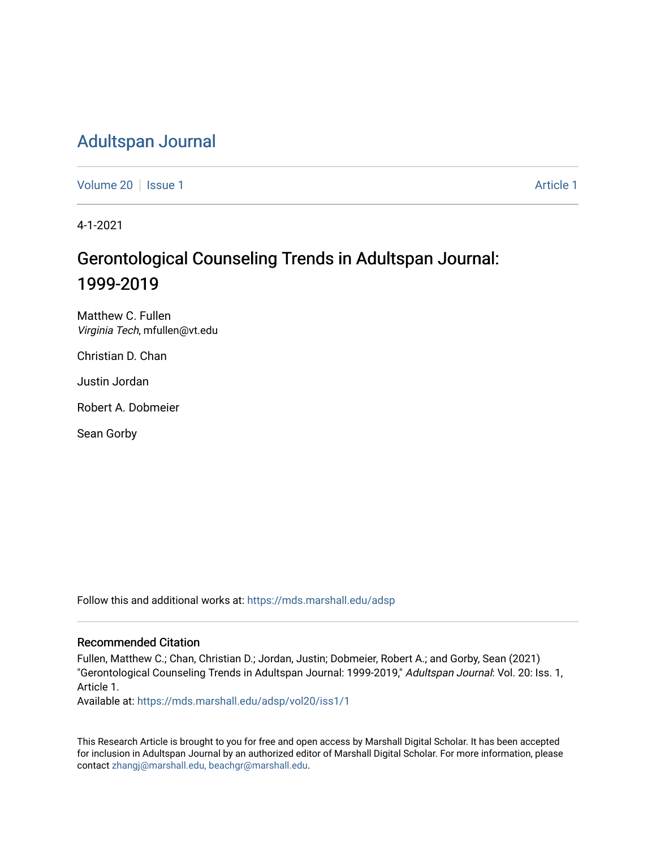## [Adultspan Journal](https://mds.marshall.edu/adsp)

[Volume 20](https://mds.marshall.edu/adsp/vol20) | [Issue 1](https://mds.marshall.edu/adsp/vol20/iss1) [Article 1](https://mds.marshall.edu/adsp/vol20/iss1/1) Article 1 Article 1 Article 1 Article 1 Article 1 Article 1 Article 1

4-1-2021

# Gerontological Counseling Trends in Adultspan Journal: 1999-2019

Matthew C. Fullen Virginia Tech, mfullen@vt.edu

Christian D. Chan

Justin Jordan

Robert A. Dobmeier

Sean Gorby

Follow this and additional works at: [https://mds.marshall.edu/adsp](https://mds.marshall.edu/adsp?utm_source=mds.marshall.edu%2Fadsp%2Fvol20%2Fiss1%2F1&utm_medium=PDF&utm_campaign=PDFCoverPages) 

#### Recommended Citation

Fullen, Matthew C.; Chan, Christian D.; Jordan, Justin; Dobmeier, Robert A.; and Gorby, Sean (2021) "Gerontological Counseling Trends in Adultspan Journal: 1999-2019," Adultspan Journal: Vol. 20: Iss. 1, Article 1.

Available at: [https://mds.marshall.edu/adsp/vol20/iss1/1](https://mds.marshall.edu/adsp/vol20/iss1/1?utm_source=mds.marshall.edu%2Fadsp%2Fvol20%2Fiss1%2F1&utm_medium=PDF&utm_campaign=PDFCoverPages) 

This Research Article is brought to you for free and open access by Marshall Digital Scholar. It has been accepted for inclusion in Adultspan Journal by an authorized editor of Marshall Digital Scholar. For more information, please contact [zhangj@marshall.edu, beachgr@marshall.edu](mailto:zhangj@marshall.edu,%20beachgr@marshall.edu).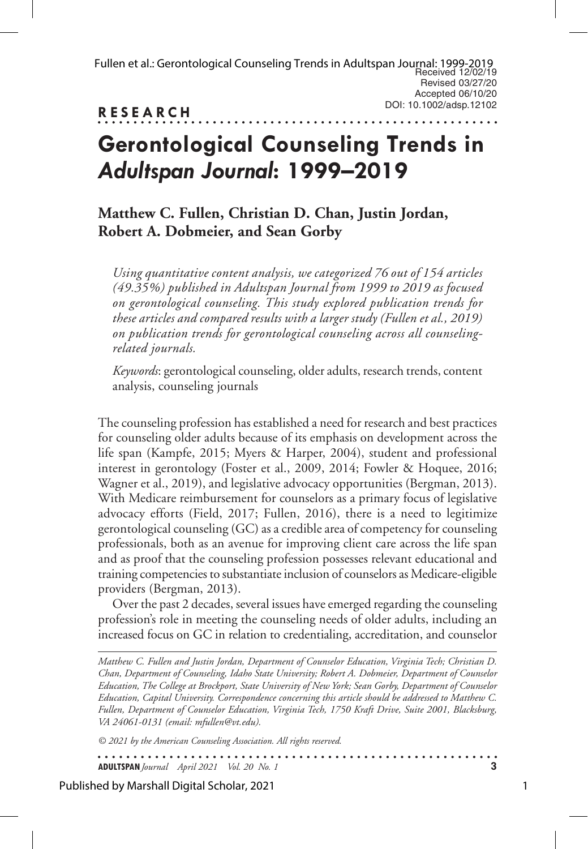**RESEARCH**

. . . . . . . . . . . . . .

# **Gerontological Counseling Trends in**  *Adultspan Journal***: 1999–2019**

## **Matthew C. Fullen, Christian D. Chan, Justin Jordan, Robert A. Dobmeier, and Sean Gorby**

*Using quantitative content analysis, we categorized 76 out of 154 articles (49.35%) published in Adultspan Journal from 1999 to 2019 as focused on gerontological counseling. This study explored publication trends for these articles and compared results with a larger study (Fullen et al., 2019) on publication trends for gerontological counseling across all counselingrelated journals.* 

*Keywords*: gerontological counseling, older adults, research trends, content analysis, counseling journals

The counseling profession has established a need for research and best practices for counseling older adults because of its emphasis on development across the life span (Kampfe, 2015; Myers & Harper, 2004), student and professional interest in gerontology (Foster et al., 2009, 2014; Fowler & Hoquee, 2016; Wagner et al., 2019), and legislative advocacy opportunities (Bergman, 2013). With Medicare reimbursement for counselors as a primary focus of legislative advocacy efforts (Field, 2017; Fullen, 2016), there is a need to legitimize gerontological counseling (GC) as a credible area of competency for counseling professionals, both as an avenue for improving client care across the life span and as proof that the counseling profession possesses relevant educational and training competencies to substantiate inclusion of counselors as Medicare-eligible providers (Bergman, 2013).

Over the past 2 decades, several issues have emerged regarding the counseling profession's role in meeting the counseling needs of older adults, including an increased focus on GC in relation to credentialing, accreditation, and counselor

*Matthew C. Fullen and Justin Jordan, Department of Counselor Education, Virginia Tech; Christian D. Chan, Department of Counseling, Idaho State University; Robert A. Dobmeier, Department of Counselor Education, The College at Brockport, State University of New York; Sean Gorby, Department of Counselor Education, Capital University. Correspondence concerning this article should be addressed to Matthew C. Fullen, Department of Counselor Education, Virginia Tech, 1750 Kraft Drive, Suite 2001, Blacksburg, VA 24061-0131 (email: mfullen@vt.edu).* 

. . . . . . . . . . . . . . . . .

*© 2021 by the American Counseling Association. All rights reserved.*

**ADULTSPAN***Journal April 2021 Vol. 20 No. 1* **3**

Published by Marshall Digital Scholar, 2021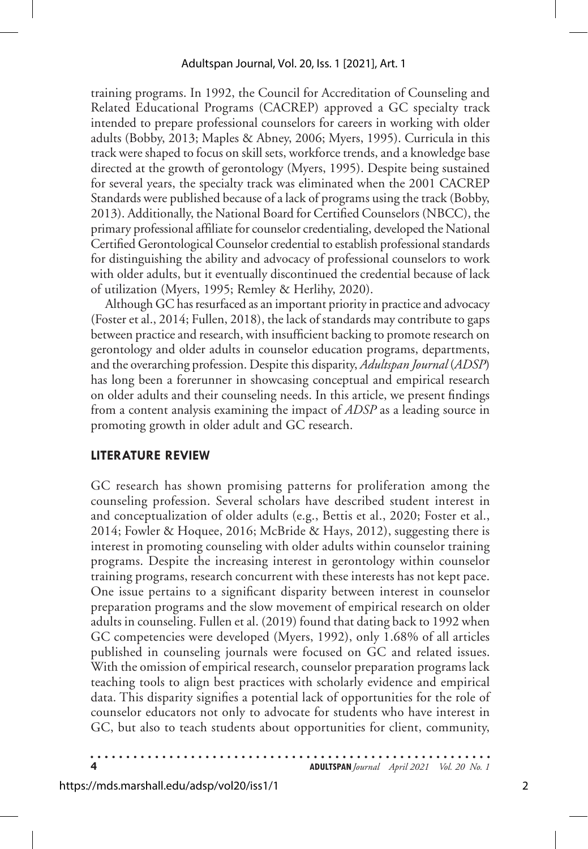training programs. In 1992, the Council for Accreditation of Counseling and Related Educational Programs (CACREP) approved a GC specialty track intended to prepare professional counselors for careers in working with older adults (Bobby, 2013; Maples & Abney, 2006; Myers, 1995). Curricula in this track were shaped to focus on skill sets, workforce trends, and a knowledge base directed at the growth of gerontology (Myers, 1995). Despite being sustained for several years, the specialty track was eliminated when the 2001 CACREP Standards were published because of a lack of programs using the track (Bobby, 2013). Additionally, the National Board for Certified Counselors (NBCC), the primary professional affiliate for counselor credentialing, developed the National Certified Gerontological Counselor credential to establish professional standards for distinguishing the ability and advocacy of professional counselors to work with older adults, but it eventually discontinued the credential because of lack of utilization (Myers, 1995; Remley & Herlihy, 2020).

Although GC has resurfaced as an important priority in practice and advocacy (Foster et al., 2014; Fullen, 2018), the lack of standards may contribute to gaps between practice and research, with insufficient backing to promote research on gerontology and older adults in counselor education programs, departments, and the overarching profession. Despite this disparity, *Adultspan Journal* (*ADSP*) has long been a forerunner in showcasing conceptual and empirical research on older adults and their counseling needs. In this article, we present findings from a content analysis examining the impact of *ADSP* as a leading source in promoting growth in older adult and GC research.

#### **LITERATURE REVIEW**

GC research has shown promising patterns for proliferation among the counseling profession. Several scholars have described student interest in and conceptualization of older adults (e.g., Bettis et al., 2020; Foster et al., 2014; Fowler & Hoquee, 2016; McBride & Hays, 2012), suggesting there is interest in promoting counseling with older adults within counselor training programs. Despite the increasing interest in gerontology within counselor training programs, research concurrent with these interests has not kept pace. One issue pertains to a significant disparity between interest in counselor preparation programs and the slow movement of empirical research on older adults in counseling. Fullen et al. (2019) found that dating back to 1992 when GC competencies were developed (Myers, 1992), only 1.68% of all articles published in counseling journals were focused on GC and related issues. With the omission of empirical research, counselor preparation programs lack teaching tools to align best practices with scholarly evidence and empirical data. This disparity signifies a potential lack of opportunities for the role of counselor educators not only to advocate for students who have interest in GC, but also to teach students about opportunities for client, community,

**4 ADULTSPAN***Journal April 2021 Vol. 20 No. 1*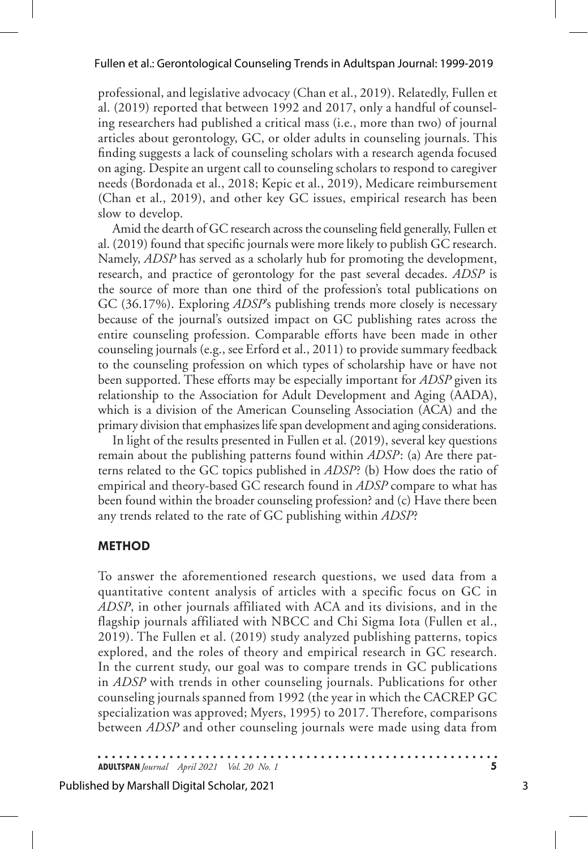professional, and legislative advocacy (Chan et al., 2019). Relatedly, Fullen et al. (2019) reported that between 1992 and 2017, only a handful of counseling researchers had published a critical mass (i.e., more than two) of journal articles about gerontology, GC, or older adults in counseling journals. This finding suggests a lack of counseling scholars with a research agenda focused on aging. Despite an urgent call to counseling scholars to respond to caregiver needs (Bordonada et al., 2018; Kepic et al., 2019), Medicare reimbursement (Chan et al., 2019), and other key GC issues, empirical research has been slow to develop.

Amid the dearth of GC research across the counseling field generally, Fullen et al. (2019) found that specific journals were more likely to publish GC research. Namely, *ADSP* has served as a scholarly hub for promoting the development, research, and practice of gerontology for the past several decades. *ADSP* is the source of more than one third of the profession's total publications on GC (36.17%). Exploring *ADSP*'s publishing trends more closely is necessary because of the journal's outsized impact on GC publishing rates across the entire counseling profession. Comparable efforts have been made in other counseling journals (e.g., see Erford et al., 2011) to provide summary feedback to the counseling profession on which types of scholarship have or have not been supported. These efforts may be especially important for *ADSP* given its relationship to the Association for Adult Development and Aging (AADA), which is a division of the American Counseling Association (ACA) and the primary division that emphasizes life span development and aging considerations.

In light of the results presented in Fullen et al. (2019), several key questions remain about the publishing patterns found within *ADSP* : (a) Are there patterns related to the GC topics published in *ADSP*? (b) How does the ratio of empirical and theory-based GC research found in *ADSP* compare to what has been found within the broader counseling profession? and (c) Have there been any trends related to the rate of GC publishing within *ADSP*?

#### **METHOD**

To answer the aforementioned research questions, we used data from a quantitative content analysis of articles with a specific focus on GC in *ADSP*, in other journals affiliated with ACA and its divisions, and in the flagship journals affiliated with NBCC and Chi Sigma Iota (Fullen et al., 2019). The Fullen et al. (2019) study analyzed publishing patterns, topics explored, and the roles of theory and empirical research in GC research. In the current study, our goal was to compare trends in GC publications in *ADSP* with trends in other counseling journals. Publications for other counseling journals spanned from 1992 (the year in which the CACREP GC specialization was approved; Myers, 1995) to 2017. Therefore, comparisons between *ADSP* and other counseling journals were made using data from

**ADULTSPAN***Journal April 2021 Vol. 20 No. 1* **5**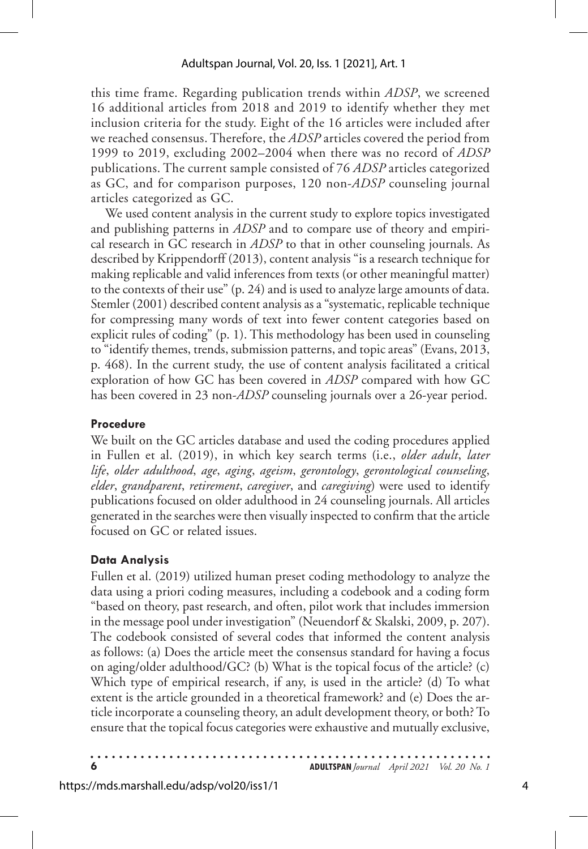this time frame. Regarding publication trends within *ADSP*, we screened 16 additional articles from 2018 and 2019 to identify whether they met inclusion criteria for the study. Eight of the 16 articles were included after we reached consensus. Therefore, the *ADSP* articles covered the period from 1999 to 2019, excluding 2002–2004 when there was no record of *ADSP* publications. The current sample consisted of 76 *ADSP* articles categorized as GC, and for comparison purposes, 120 non-*ADSP* counseling journal articles categorized as GC.

We used content analysis in the current study to explore topics investigated and publishing patterns in *ADSP* and to compare use of theory and empirical research in GC research in *ADSP* to that in other counseling journals. As described by Krippendorff (2013), content analysis "is a research technique for making replicable and valid inferences from texts (or other meaningful matter) to the contexts of their use" (p. 24) and is used to analyze large amounts of data. Stemler (2001) described content analysis as a "systematic, replicable technique for compressing many words of text into fewer content categories based on explicit rules of coding" (p. 1). This methodology has been used in counseling to "identify themes, trends, submission patterns, and topic areas" (Evans, 2013, p. 468). In the current study, the use of content analysis facilitated a critical exploration of how GC has been covered in *ADSP* compared with how GC has been covered in 23 non-*ADSP* counseling journals over a 26-year period.

#### **Procedure**

We built on the GC articles database and used the coding procedures applied in Fullen et al. (2019), in which key search terms (i.e., *older adult*, *later life*, *older adulthood*, *age*, *aging*, *ageism*, *gerontology*, *gerontological counseling*, *elder*, *grandparent*, *retirement*, *caregiver*, and *caregiving*) were used to identify publications focused on older adulthood in 24 counseling journals. All articles generated in the searches were then visually inspected to confirm that the article focused on GC or related issues.

### **Data Analysis**

Fullen et al. (2019) utilized human preset coding methodology to analyze the data using a priori coding measures, including a codebook and a coding form "based on theory, past research, and often, pilot work that includes immersion in the message pool under investigation" (Neuendorf & Skalski, 2009, p. 207). The codebook consisted of several codes that informed the content analysis as follows: (a) Does the article meet the consensus standard for having a focus on aging/older adulthood/GC? (b) What is the topical focus of the article? (c) Which type of empirical research, if any, is used in the article? (d) To what extent is the article grounded in a theoretical framework? and (e) Does the article incorporate a counseling theory, an adult development theory, or both? To ensure that the topical focus categories were exhaustive and mutually exclusive,

**6 ADULTSPAN***Journal April 2021 Vol. 20 No. 1*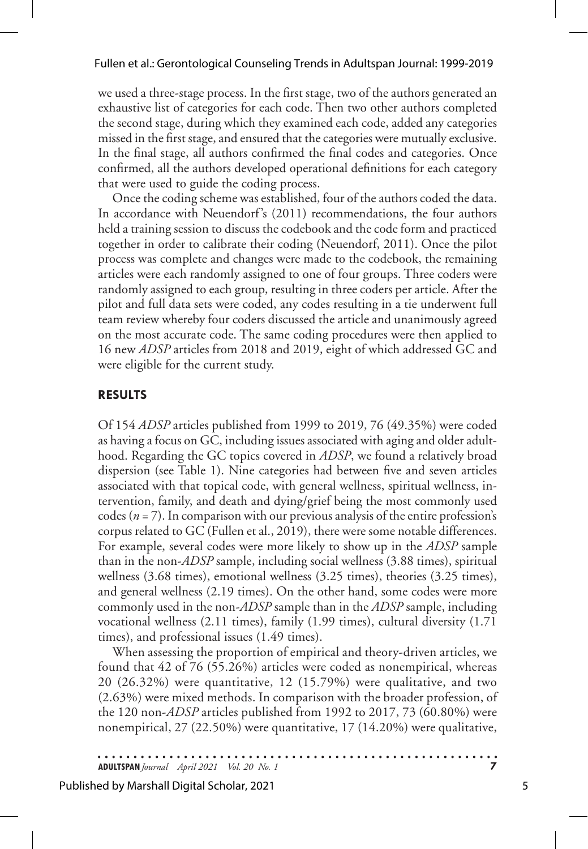we used a three-stage process. In the first stage, two of the authors generated an exhaustive list of categories for each code. Then two other authors completed the second stage, during which they examined each code, added any categories missed in the first stage, and ensured that the categories were mutually exclusive. In the final stage, all authors confirmed the final codes and categories. Once confirmed, all the authors developed operational definitions for each category that were used to guide the coding process.

Once the coding scheme was established, four of the authors coded the data. In accordance with Neuendorf's (2011) recommendations, the four authors held a training session to discuss the codebook and the code form and practiced together in order to calibrate their coding (Neuendorf, 2011). Once the pilot process was complete and changes were made to the codebook, the remaining articles were each randomly assigned to one of four groups. Three coders were randomly assigned to each group, resulting in three coders per article. After the pilot and full data sets were coded, any codes resulting in a tie underwent full team review whereby four coders discussed the article and unanimously agreed on the most accurate code. The same coding procedures were then applied to 16 new *ADSP* articles from 2018 and 2019, eight of which addressed GC and were eligible for the current study.

#### **RESULTS**

Of 154 *ADSP* articles published from 1999 to 2019, 76 (49.35%) were coded as having a focus on GC, including issues associated with aging and older adulthood. Regarding the GC topics covered in *ADSP*, we found a relatively broad dispersion (see Table 1). Nine categories had between five and seven articles associated with that topical code, with general wellness, spiritual wellness, intervention, family, and death and dying/grief being the most commonly used codes ( $n = 7$ ). In comparison with our previous analysis of the entire profession's corpus related to GC (Fullen et al., 2019), there were some notable differences. For example, several codes were more likely to show up in the *ADSP* sample than in the non-*ADSP* sample, including social wellness (3.88 times), spiritual wellness (3.68 times), emotional wellness (3.25 times), theories (3.25 times), and general wellness (2.19 times). On the other hand, some codes were more commonly used in the non-*ADSP* sample than in the *ADSP* sample, including vocational wellness (2.11 times), family (1.99 times), cultural diversity (1.71 times), and professional issues (1.49 times).

When assessing the proportion of empirical and theory-driven articles, we found that 42 of 76 (55.26%) articles were coded as nonempirical, whereas 20 (26.32%) were quantitative, 12 (15.79%) were qualitative, and two (2.63%) were mixed methods. In comparison with the broader profession, of the 120 non-*ADSP* articles published from 1992 to 2017, 73 (60.80%) were nonempirical, 27 (22.50%) were quantitative, 17 (14.20%) were qualitative,

**ADULTSPAN***Journal April 2021 Vol. 20 No. 1* **7**

#### Published by Marshall Digital Scholar, 2021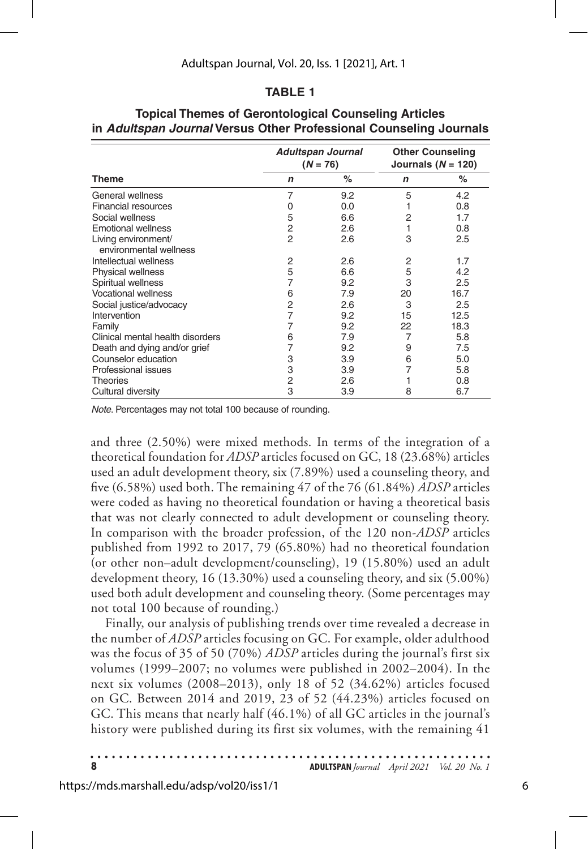#### **TABLE 1**

|                                               |                | <b>Adultspan Journal</b><br>$(N = 76)$ | <b>Other Counseling</b><br>Journals ( $N = 120$ ) |      |  |  |  |
|-----------------------------------------------|----------------|----------------------------------------|---------------------------------------------------|------|--|--|--|
| <b>Theme</b>                                  | $\mathbf n$    | %                                      | n                                                 | %    |  |  |  |
| General wellness                              | 7              | 9.2                                    | 5                                                 | 4.2  |  |  |  |
| <b>Financial resources</b>                    | O              | 0.0                                    |                                                   | 0.8  |  |  |  |
| Social wellness                               | 5              | 6.6                                    | 2                                                 | 1.7  |  |  |  |
| <b>Emotional wellness</b>                     | 2              | 2.6                                    |                                                   | 0.8  |  |  |  |
| Living environment/<br>environmental wellness | $\mathfrak{p}$ | 2.6                                    | 3                                                 | 2.5  |  |  |  |
| Intellectual wellness                         | 2              | 2.6                                    | 2                                                 | 1.7  |  |  |  |
| <b>Physical wellness</b>                      | 5              | 6.6                                    | 5                                                 | 4.2  |  |  |  |
| Spiritual wellness                            |                | 9.2                                    | 3                                                 | 2.5  |  |  |  |
| <b>Vocational wellness</b>                    | 6              | 7.9                                    | 20                                                | 16.7 |  |  |  |
| Social justice/advocacy                       | 2              | 2.6                                    | 3                                                 | 2.5  |  |  |  |
| Intervention                                  | 7              | 9.2                                    | 15                                                | 12.5 |  |  |  |
| Family                                        | 7              | 9.2                                    | 22                                                | 18.3 |  |  |  |
| Clinical mental health disorders              | 6              | 7.9                                    | 7                                                 | 5.8  |  |  |  |
| Death and dying and/or grief                  | 7              | 9.2                                    | 9                                                 | 7.5  |  |  |  |
| Counselor education                           | 3              | 3.9                                    | 6                                                 | 5.0  |  |  |  |
| Professional issues                           | 3              | 3.9                                    |                                                   | 5.8  |  |  |  |
| Theories                                      | 2              | 2.6                                    |                                                   | 0.8  |  |  |  |
| Cultural diversity                            | 3              | 3.9                                    | 8                                                 | 6.7  |  |  |  |

#### **Topical Themes of Gerontological Counseling Articles in** *Adultspan Journal* **Versus Other Professional Counseling Journals**

*Note*. Percentages may not total 100 because of rounding.

and three (2.50%) were mixed methods. In terms of the integration of a theoretical foundation for *ADSP* articles focused on GC, 18 (23.68%) articles used an adult development theory, six (7.89%) used a counseling theory, and five (6.58%) used both. The remaining 47 of the 76 (61.84%) *ADSP* articles were coded as having no theoretical foundation or having a theoretical basis that was not clearly connected to adult development or counseling theory. In comparison with the broader profession, of the 120 non-*ADSP* articles published from 1992 to 2017, 79 (65.80%) had no theoretical foundation (or other non–adult development/counseling), 19 (15.80%) used an adult development theory, 16 (13.30%) used a counseling theory, and six (5.00%) used both adult development and counseling theory. (Some percentages may not total 100 because of rounding.)

Finally, our analysis of publishing trends over time revealed a decrease in the number of *ADSP* articles focusing on GC. For example, older adulthood was the focus of 35 of 50 (70%) *ADSP* articles during the journal's first six volumes (1999–2007; no volumes were published in 2002–2004). In the next six volumes (2008–2013), only 18 of 52 (34.62%) articles focused on GC. Between 2014 and 2019, 23 of 52 (44.23%) articles focused on GC. This means that nearly half (46.1%) of all GC articles in the journal's history were published during its first six volumes, with the remaining 41

|  |  |  |  |  |  |  |  |  |  |  |  |  |  |  |  |  |  |  |  |  |  |  |  | <b>ADULTSPAN</b> Journal April 2021 Vol. 20 No. 1 |  |
|--|--|--|--|--|--|--|--|--|--|--|--|--|--|--|--|--|--|--|--|--|--|--|--|---------------------------------------------------|--|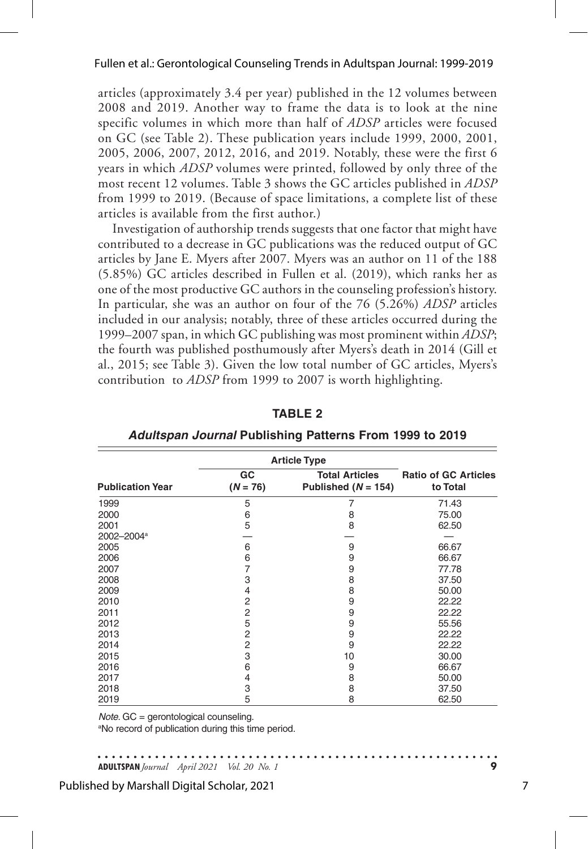articles (approximately 3.4 per year) published in the 12 volumes between 2008 and 2019. Another way to frame the data is to look at the nine specific volumes in which more than half of *ADSP* articles were focused on GC (see Table 2). These publication years include 1999, 2000, 2001, 2005, 2006, 2007, 2012, 2016, and 2019. Notably, these were the first 6 years in which *ADSP* volumes were printed, followed by only three of the most recent 12 volumes. Table 3 shows the GC articles published in *ADSP* from 1999 to 2019. (Because of space limitations, a complete list of these articles is available from the first author.)

Investigation of authorship trends suggests that one factor that might have contributed to a decrease in GC publications was the reduced output of GC articles by Jane E. Myers after 2007. Myers was an author on 11 of the 188 (5.85%) GC articles described in Fullen et al. (2019), which ranks her as one of the most productive GC authors in the counseling profession's history. In particular, she was an author on four of the 76 (5.26%) *ADSP* articles included in our analysis; notably, three of these articles occurred during the 1999–2007 span, in which GC publishing was most prominent within *ADSP*; the fourth was published posthumously after Myers's death in 2014 (Gill et al., 2015; see Table 3). Given the low total number of GC articles, Myers's contribution to *ADSP* from 1999 to 2007 is worth highlighting.

|                         | <b>Article Type</b> |                                                |                                         |
|-------------------------|---------------------|------------------------------------------------|-----------------------------------------|
| <b>Publication Year</b> | GC<br>$(N = 76)$    | <b>Total Articles</b><br>Published $(N = 154)$ | <b>Ratio of GC Articles</b><br>to Total |
| 1999                    | 5                   | 7                                              | 71.43                                   |
| 2000                    | 6                   | 8                                              | 75.00                                   |
| 2001                    | 5                   | 8                                              | 62.50                                   |
| 2002-2004 <sup>a</sup>  |                     |                                                |                                         |
| 2005                    | 6                   | 9                                              | 66.67                                   |
| 2006                    | 6                   | 9                                              | 66.67                                   |
| 2007                    | 7                   | 9                                              | 77.78                                   |
| 2008                    | 3                   | 8                                              | 37.50                                   |
| 2009                    | 4                   | 8                                              | 50.00                                   |
| 2010                    | 2                   | 9                                              | 22.22                                   |
| 2011                    | $\overline{c}$      | 9                                              | 22.22                                   |
| 2012                    | 5                   | 9                                              | 55.56                                   |
| 2013                    | $\overline{c}$      | 9                                              | 22.22                                   |
| 2014                    | $\overline{c}$      | 9                                              | 22.22                                   |
| 2015                    | 3                   | 10                                             | 30.00                                   |
| 2016                    | 6                   | 9                                              | 66.67                                   |
| 2017                    | 4                   | 8                                              | 50.00                                   |
| 2018                    | 3                   | 8                                              | 37.50                                   |
| 2019                    | 5                   | 8                                              | 62.50                                   |

**TABLE 2**

| Adultspan Journal Publishing Patterns From 1999 to 2019 |  |  |  |  |  |  |
|---------------------------------------------------------|--|--|--|--|--|--|
|---------------------------------------------------------|--|--|--|--|--|--|

*Note*. GC = gerontological counseling.

<sup>a</sup>No record of publication during this time period.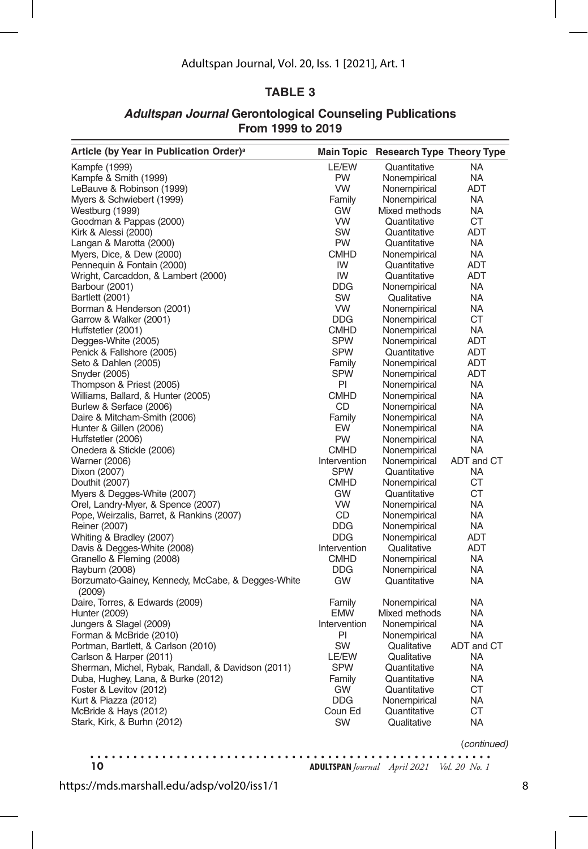#### Adultspan Journal, Vol. 20, Iss. 1 [2021], Art. 1

#### **TABLE 3**

#### *Adultspan Journal* **Gerontological Counseling Publications From 1999 to 2019**

| Article (by Year in Publication Order) <sup>a</sup>         | <b>Main Topic</b> | <b>Research Type Theory Type</b> |            |
|-------------------------------------------------------------|-------------------|----------------------------------|------------|
| Kampfe (1999)                                               | LE/EW             | Quantitative                     | NA         |
| Kampfe & Smith (1999)                                       | PW                | Nonempirical                     | NA         |
| LeBauve & Robinson (1999)                                   | VW                | Nonempirical                     | ADT        |
| Myers & Schwiebert (1999)                                   | Family            | Nonempirical                     | <b>NA</b>  |
| Westburg (1999)                                             | GW                | Mixed methods                    | <b>NA</b>  |
| Goodman & Pappas (2000)                                     | <b>VW</b>         | Quantitative                     | CT         |
| Kirk & Alessi (2000)                                        | SW                | Quantitative                     | <b>ADT</b> |
| Langan & Marotta (2000)                                     | PW                | Quantitative                     | <b>NA</b>  |
| Myers, Dice, & Dew (2000)                                   | <b>CMHD</b>       | Nonempirical                     | NA.        |
| Pennequin & Fontain (2000)                                  | IW                | Quantitative                     | ADT        |
| Wright, Carcaddon, & Lambert (2000)                         | IW                | Quantitative                     | <b>ADT</b> |
| Barbour (2001)                                              | DDG.              | Nonempirical                     | NA         |
| Bartlett (2001)                                             | SW                | Qualitative                      | <b>NA</b>  |
| Borman & Henderson (2001)                                   | <b>VW</b>         | Nonempirical                     | <b>NA</b>  |
| Garrow & Walker (2001)                                      | <b>DDG</b>        | Nonempirical                     | СT         |
| Huffstetler (2001)                                          | <b>CMHD</b>       | Nonempirical                     | <b>NA</b>  |
| Degges-White (2005)                                         | <b>SPW</b>        | Nonempirical                     | <b>ADT</b> |
| Penick & Fallshore (2005)                                   | <b>SPW</b>        | Quantitative                     | <b>ADT</b> |
| Seto & Dahlen (2005)                                        | Family            | Nonempirical                     | ADT        |
| Snyder (2005)                                               | <b>SPW</b>        | Nonempirical                     | ADT        |
| Thompson & Priest (2005)                                    | PI                | Nonempirical                     | <b>NA</b>  |
| Williams, Ballard, & Hunter (2005)                          | <b>CMHD</b>       | Nonempirical                     | NA         |
| Burlew & Serface (2006)                                     | CD                | Nonempirical                     | <b>NA</b>  |
| Daire & Mitcham-Smith (2006)                                | Family            | Nonempirical                     | <b>NA</b>  |
| Hunter & Gillen (2006)                                      | EW                | Nonempirical                     | NA         |
| Huffstetler (2006)                                          | PW                | Nonempirical                     | <b>NA</b>  |
| Onedera & Stickle (2006)                                    | <b>CMHD</b>       | Nonempirical                     | <b>NA</b>  |
| Warner (2006)                                               | Intervention      | Nonempirical                     | ADT and CT |
| Dixon (2007)                                                | <b>SPW</b>        | Quantitative                     | NA         |
| Douthit (2007)                                              | <b>CMHD</b>       | Nonempirical                     | <b>CT</b>  |
| Myers & Degges-White (2007)                                 | GW                | Quantitative                     | СT         |
| Orel, Landry-Myer, & Spence (2007)                          | <b>VW</b>         | Nonempirical                     | <b>NA</b>  |
| Pope, Weirzalis, Barret, & Rankins (2007)                   | CD                | Nonempirical                     | <b>NA</b>  |
| Reiner (2007)                                               | <b>DDG</b>        | Nonempirical                     | <b>NA</b>  |
| Whiting & Bradley (2007)                                    | <b>DDG</b>        | Nonempirical                     | <b>ADT</b> |
| Davis & Degges-White (2008)                                 | Intervention      | Qualitative                      | ADT        |
| Granello & Fleming (2008)                                   | <b>CMHD</b>       | Nonempirical                     | <b>NA</b>  |
| Rayburn (2008)                                              | <b>DDG</b>        | Nonempirical                     | <b>NA</b>  |
| Borzumato-Gainey, Kennedy, McCabe, & Degges-White<br>(2009) | <b>GW</b>         | Quantitative                     | <b>NA</b>  |
| Daire, Torres, & Edwards (2009)                             | Family            | Nonempirical                     | <b>NA</b>  |
| Hunter (2009)                                               | <b>EMW</b>        | Mixed methods                    | NA         |
| Jungers & Slagel (2009)                                     | Intervention      | Nonempirical                     | NA         |
| Forman & McBride (2010)                                     | PI                | Nonempirical                     | <b>NA</b>  |
| Portman, Bartlett, & Carlson (2010)                         | SW                | Qualitative                      | ADT and CT |
| Carlson & Harper (2011)                                     | LE/EW             | Qualitative                      | <b>NA</b>  |
| Sherman, Michel, Rybak, Randall, & Davidson (2011)          | <b>SPW</b>        | Quantitative                     | NA         |
| Duba, Hughey, Lana, & Burke (2012)                          | Family            | Quantitative                     | <b>NA</b>  |
| Foster & Levitov (2012)                                     | <b>GW</b>         | Quantitative                     | СT         |
| Kurt & Piazza (2012)                                        | <b>DDG</b>        | Nonempirical                     | NA         |
| McBride & Hays (2012)                                       | Coun Ed           | Quantitative                     | <b>CT</b>  |
| Stark, Kirk, & Burhn (2012)                                 | SW                | Qualitative                      | <b>NA</b>  |

(*continued)*

 $\bullet\hspace{0.1cm} \bullet\hspace{0.1cm}\bullet\hspace{0.1cm}\bullet\hspace{0.1cm}$ . . . . . . . . **10 ADULTSPAN***Journal April 2021 Vol. 20 No. 1*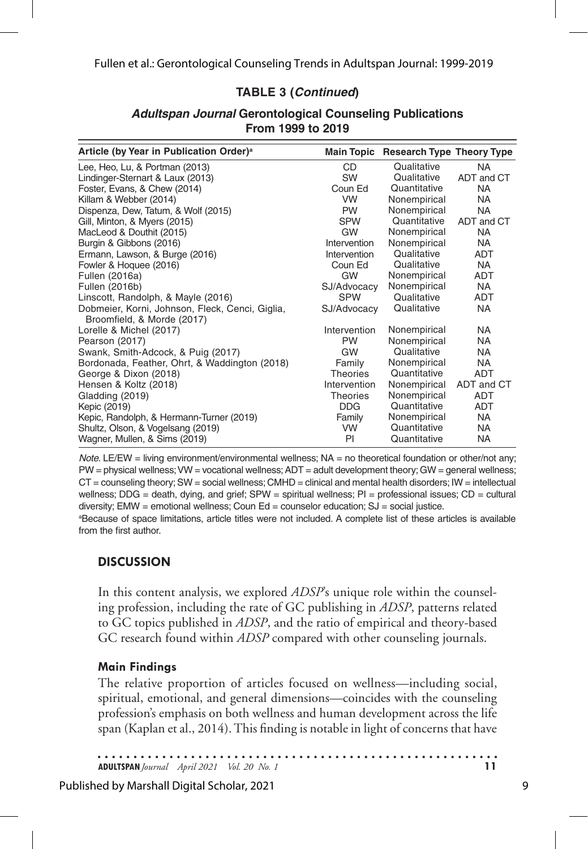#### **TABLE 3 (***Continued***)**

| Article (by Year in Publication Order) <sup>a</sup> |                 | Main Topic Research Type Theory Type |            |
|-----------------------------------------------------|-----------------|--------------------------------------|------------|
| Lee, Heo, Lu, & Portman (2013)                      | CD              | Qualitative                          | <b>NA</b>  |
| Lindinger-Sternart & Laux (2013)                    | <b>SW</b>       | Qualitative                          | ADT and CT |
| Foster, Evans, & Chew (2014)                        | Coun Ed         | Quantitative                         | NA.        |
| Killam & Webber (2014)                              | <b>VW</b>       | Nonempirical                         | <b>NA</b>  |
| Dispenza, Dew, Tatum, & Wolf (2015)                 | <b>PW</b>       | Nonempirical                         | NA.        |
| Gill, Minton, & Myers (2015)                        | <b>SPW</b>      | Quantitative                         | ADT and CT |
| MacLeod & Douthit (2015)                            | GW              | Nonempirical                         | NA         |
| Burgin & Gibbons (2016)                             | Intervention    | Nonempirical                         | <b>NA</b>  |
| Ermann, Lawson, & Burge (2016)                      | Intervention    | Qualitative                          | <b>ADT</b> |
| Fowler & Hoquee (2016)                              | Coun Ed         | Qualitative                          | <b>NA</b>  |
| Fullen (2016a)                                      | GW              | Nonempirical                         | ADT        |
| Fullen (2016b)                                      | SJ/Advocacy     | Nonempirical                         | <b>NA</b>  |
| Linscott, Randolph, & Mayle (2016)                  | <b>SPW</b>      | Qualitative                          | <b>ADT</b> |
| Dobmeier, Korni, Johnson, Fleck, Cenci, Giglia,     | SJ/Advocacy     | Qualitative                          | <b>NA</b>  |
| Broomfield, & Morde (2017)                          |                 |                                      |            |
| Lorelle & Michel (2017)                             | Intervention    | Nonempirical                         | <b>NA</b>  |
| Pearson (2017)                                      | <b>PW</b>       | Nonempirical                         | <b>NA</b>  |
| Swank, Smith-Adcock, & Puig (2017)                  | GW              | Qualitative                          | <b>NA</b>  |
| Bordonada, Feather, Ohrt, & Waddington (2018)       | Family          | Nonempirical                         | <b>NA</b>  |
| George & Dixon (2018)                               | <b>Theories</b> | Quantitative                         | <b>ADT</b> |
| Hensen & Koltz (2018)                               | Intervention    | Nonempirical                         | ADT and CT |
| Gladding (2019)                                     | <b>Theories</b> | Nonempirical                         | <b>ADT</b> |
| Kepic (2019)                                        | <b>DDG</b>      | Quantitative                         | ADT        |
| Kepic, Randolph, & Hermann-Turner (2019)            | Family          | Nonempirical                         | NA         |
| Shultz, Olson, & Vogelsang (2019)                   | <b>VW</b>       | Quantitative                         | NA.        |
| Wagner, Mullen, & Sims (2019)                       | PI              | Quantitative                         | <b>NA</b>  |

#### *Adultspan Journal* **Gerontological Counseling Publications From 1999 to 2019**

*Note*. LE/EW = living environment/environmental wellness; NA = no theoretical foundation or other/not any; PW = physical wellness; VW = vocational wellness; ADT = adult development theory; GW = general wellness;  $CT =$  counseling theory; SW = social wellness; CMHD = clinical and mental health disorders; IW = intellectual wellness; DDG = death, dying, and grief; SPW = spiritual wellness; PI = professional issues; CD = cultural diversity; EMW = emotional wellness; Coun Ed = counselor education; SJ = social justice.

a Because of space limitations, article titles were not included. A complete list of these articles is available from the first author.

## **DISCUSSION**

In this content analysis, we explored *ADSP*'s unique role within the counseling profession, including the rate of GC publishing in *ADSP*, patterns related to GC topics published in *ADSP*, and the ratio of empirical and theory-based GC research found within *ADSP* compared with other counseling journals.

#### **Main Findings**

The relative proportion of articles focused on wellness—including social, spiritual, emotional, and general dimensions—coincides with the counseling profession's emphasis on both wellness and human development across the life span (Kaplan et al., 2014). This finding is notable in light of concerns that have

**ADULTSPAN***Journal April 2021 Vol. 20 No. 1* **11**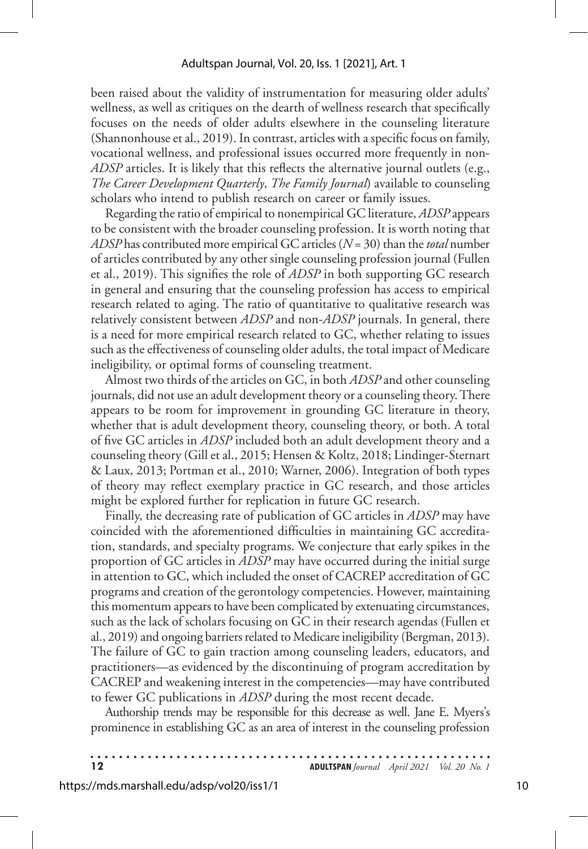#### Adultspan Journal, Vol. 20, Iss. 1 [2021], Art. 1

been raised about the validity of instrumentation for measuring older adults' wellness, as well as critiques on the dearth of wellness research that specifically focuses on the needs of older adults elsewhere in the counseling literature (Shannonhouse et al., 2019). In contrast, articles with a specific focus on family, vocational wellness, and professional issues occurred more frequently in non-*ADSP* articles. It is likely that this reflects the alternative journal outlets (e.g., *The Career Development Quarterly*, *The Family Journal*) available to counseling scholars who intend to publish research on career or family issues.

Regarding the ratio of empirical to nonempirical GC literature, *ADSP* appears to be consistent with the broader counseling profession. It is worth noting that *ADSP* has contributed more empirical GC articles (*N* = 30) than the *total* number of articles contributed by any other single counseling profession journal (Fullen et al., 2019). This signifies the role of *ADSP* in both supporting GC research in general and ensuring that the counseling profession has access to empirical research related to aging. The ratio of quantitative to qualitative research was relatively consistent between *ADSP* and non-*ADSP* journals. In general, there is a need for more empirical research related to GC, whether relating to issues such as the effectiveness of counseling older adults, the total impact of Medicare ineligibility, or optimal forms of counseling treatment.

Almost two thirds of the articles on GC, in both *ADSP* and other counseling journals, did not use an adult development theory or a counseling theory. There appears to be room for improvement in grounding GC literature in theory, whether that is adult development theory, counseling theory, or both. A total of five GC articles in *ADSP* included both an adult development theory and a counseling theory (Gill et al., 2015; Hensen & Koltz, 2018; Lindinger-Sternart & Laux, 2013; Portman et al., 2010; Warner, 2006). Integration of both types of theory may reflect exemplary practice in GC research, and those articles might be explored further for replication in future GC research.

Finally, the decreasing rate of publication of GC articles in *ADSP* may have coincided with the aforementioned difficulties in maintaining GC accreditation, standards, and specialty programs. We conjecture that early spikes in the proportion of GC articles in *ADSP* may have occurred during the initial surge in attention to GC, which included the onset of CACREP accreditation of GC programs and creation of the gerontology competencies. However, maintaining this momentum appears to have been complicated by extenuating circumstances, such as the lack of scholars focusing on GC in their research agendas (Fullen et al., 2019) and ongoing barriers related to Medicare ineligibility (Bergman, 2013). The failure of GC to gain traction among counseling leaders, educators, and practitioners—as evidenced by the discontinuing of program accreditation by CACREP and weakening interest in the competencies—may have contributed to fewer GC publications in *ADSP* during the most recent decade.

Authorship trends may be responsible for this decrease as well. Jane E. Myers's prominence in establishing GC as an area of interest in the counseling profession

| $\overline{12}$ | <b>ADULTSPAN</b> Journal April 2021 Vol. 20 No. 1 |  |
|-----------------|---------------------------------------------------|--|
|                 |                                                   |  |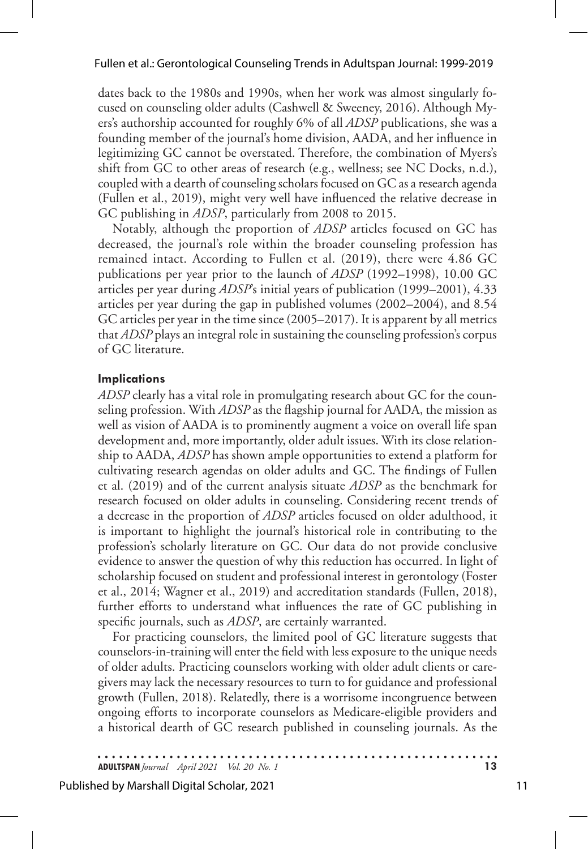dates back to the 1980s and 1990s, when her work was almost singularly focused on counseling older adults (Cashwell & Sweeney, 2016). Although Myers's authorship accounted for roughly 6% of all *ADSP* publications, she was a founding member of the journal's home division, AADA, and her influence in legitimizing GC cannot be overstated. Therefore, the combination of Myers's shift from GC to other areas of research (e.g., wellness; see NC Docks, n.d.), coupled with a dearth of counseling scholars focused on GC as a research agenda (Fullen et al., 2019), might very well have influenced the relative decrease in GC publishing in *ADSP*, particularly from 2008 to 2015.

Notably, although the proportion of *ADSP* articles focused on GC has decreased, the journal's role within the broader counseling profession has remained intact. According to Fullen et al. (2019), there were 4.86 GC publications per year prior to the launch of *ADSP* (1992–1998), 10.00 GC articles per year during *ADSP*'s initial years of publication (1999–2001), 4.33 articles per year during the gap in published volumes (2002–2004), and 8.54 GC articles per year in the time since (2005–2017). It is apparent by all metrics that *ADSP* plays an integral role in sustaining the counseling profession's corpus of GC literature.

#### **Implications**

*ADSP* clearly has a vital role in promulgating research about GC for the counseling profession. With *ADSP* as the flagship journal for AADA, the mission as well as vision of AADA is to prominently augment a voice on overall life span development and, more importantly, older adult issues. With its close relationship to AADA, *ADSP* has shown ample opportunities to extend a platform for cultivating research agendas on older adults and GC. The findings of Fullen et al. (2019) and of the current analysis situate *ADSP* as the benchmark for research focused on older adults in counseling. Considering recent trends of a decrease in the proportion of *ADSP* articles focused on older adulthood, it is important to highlight the journal's historical role in contributing to the profession's scholarly literature on GC. Our data do not provide conclusive evidence to answer the question of why this reduction has occurred. In light of scholarship focused on student and professional interest in gerontology (Foster et al., 2014; Wagner et al., 2019) and accreditation standards (Fullen, 2018), further efforts to understand what influences the rate of GC publishing in specific journals, such as *ADSP*, are certainly warranted.

For practicing counselors, the limited pool of GC literature suggests that counselors-in-training will enter the field with less exposure to the unique needs of older adults. Practicing counselors working with older adult clients or caregivers may lack the necessary resources to turn to for guidance and professional growth (Fullen, 2018). Relatedly, there is a worrisome incongruence between ongoing efforts to incorporate counselors as Medicare-eligible providers and a historical dearth of GC research published in counseling journals. As the

**ADULTSPAN***Journal April 2021 Vol. 20 No. 1* **13**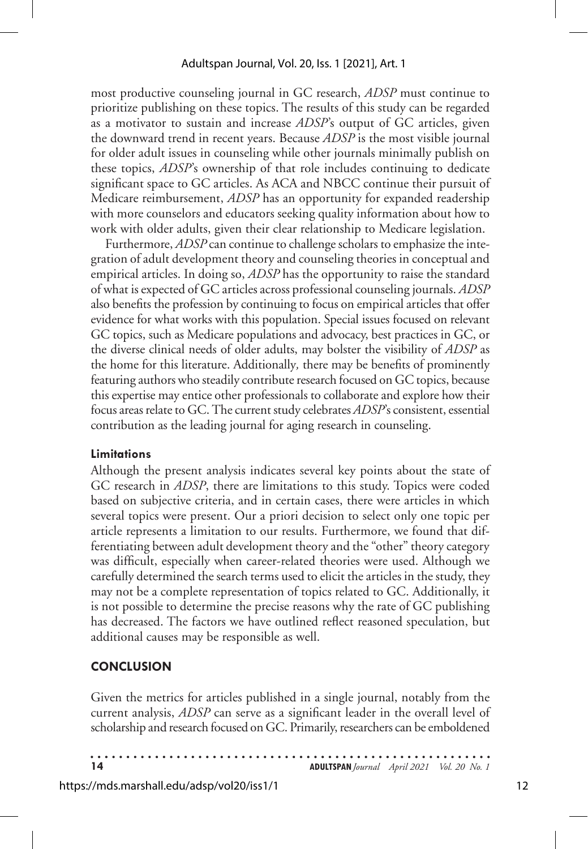most productive counseling journal in GC research, *ADSP* must continue to prioritize publishing on these topics. The results of this study can be regarded as a motivator to sustain and increase *ADSP*'s output of GC articles, given the downward trend in recent years. Because *ADSP* is the most visible journal for older adult issues in counseling while other journals minimally publish on these topics, *ADSP*'s ownership of that role includes continuing to dedicate significant space to GC articles. As ACA and NBCC continue their pursuit of Medicare reimbursement, *ADSP* has an opportunity for expanded readership with more counselors and educators seeking quality information about how to work with older adults, given their clear relationship to Medicare legislation.

Furthermore, *ADSP* can continue to challenge scholars to emphasize the integration of adult development theory and counseling theories in conceptual and empirical articles. In doing so, *ADSP* has the opportunity to raise the standard of what is expected of GC articles across professional counseling journals. *ADSP* also benefits the profession by continuing to focus on empirical articles that offer evidence for what works with this population. Special issues focused on relevant GC topics, such as Medicare populations and advocacy, best practices in GC, or the diverse clinical needs of older adults, may bolster the visibility of *ADSP* as the home for this literature. Additionally*,* there may be benefits of prominently featuring authors who steadily contribute research focused on GC topics, because this expertise may entice other professionals to collaborate and explore how their focus areas relate to GC. The current study celebrates *ADSP*'s consistent, essential contribution as the leading journal for aging research in counseling.

#### **Limitations**

Although the present analysis indicates several key points about the state of GC research in *ADSP*, there are limitations to this study. Topics were coded based on subjective criteria, and in certain cases, there were articles in which several topics were present. Our a priori decision to select only one topic per article represents a limitation to our results. Furthermore, we found that differentiating between adult development theory and the "other" theory category was difficult, especially when career-related theories were used. Although we carefully determined the search terms used to elicit the articles in the study, they may not be a complete representation of topics related to GC. Additionally, it is not possible to determine the precise reasons why the rate of GC publishing has decreased. The factors we have outlined reflect reasoned speculation, but additional causes may be responsible as well.

## **CONCLUSION**

Given the metrics for articles published in a single journal, notably from the current analysis, *ADSP* can serve as a significant leader in the overall level of scholarship and research focused on GC. Primarily, researchers can be emboldened

**14 ADULTSPAN***Journal April 2021 Vol. 20 No. 1*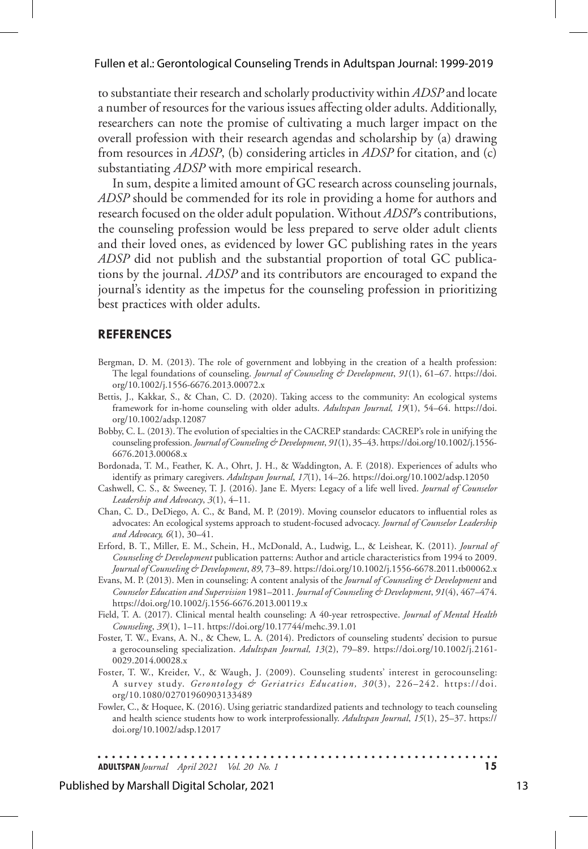to substantiate their research and scholarly productivity within *ADSP* and locate a number of resources for the various issues affecting older adults. Additionally, researchers can note the promise of cultivating a much larger impact on the overall profession with their research agendas and scholarship by (a) drawing from resources in *ADSP*, (b) considering articles in *ADSP* for citation, and (c) substantiating *ADSP* with more empirical research.

In sum, despite a limited amount of GC research across counseling journals, *ADSP* should be commended for its role in providing a home for authors and research focused on the older adult population. Without *ADSP*'s contributions, the counseling profession would be less prepared to serve older adult clients and their loved ones, as evidenced by lower GC publishing rates in the years *ADSP* did not publish and the substantial proportion of total GC publications by the journal. *ADSP* and its contributors are encouraged to expand the journal's identity as the impetus for the counseling profession in prioritizing best practices with older adults.

#### **REFERENCES**

- Bergman, D. M. (2013). The role of government and lobbying in the creation of a health profession: The legal foundations of counseling. *Journal of Counseling & Development*, *91*(1), 61–67. https://doi. org/10.1002/j.1556-6676.2013.00072.x
- Bettis, J., Kakkar, S., & Chan, C. D. (2020). Taking access to the community: An ecological systems framework for in-home counseling with older adults. *Adultspan Journal, 19*(1), 54–64. https://doi. org/10.1002/adsp.12087
- Bobby, C. L. (2013). The evolution of specialties in the CACREP standards: CACREP's role in unifying the counseling profession. *Journal of Counseling & Development*, *91*(1), 35–43. https://doi.org/10.1002/j.1556- 6676.2013.00068.x
- Bordonada, T. M., Feather, K. A., Ohrt, J. H., & Waddington, A. F. (2018). Experiences of adults who identify as primary caregivers. *Adultspan Journal*, *17*(1), 14–26. https://doi.org/10.1002/adsp.12050
- Cashwell, C. S., & Sweeney, T. J. (2016). Jane E. Myers: Legacy of a life well lived. *Journal of Counselor Leadership and Advocacy*, *3*(1), 4–11.
- Chan, C. D., DeDiego, A. C., & Band, M. P. (2019). Moving counselor educators to influential roles as advocates: An ecological systems approach to student-focused advocacy. *Journal of Counselor Leadership and Advocacy, 6*(1), 30–41.
- Erford, B. T., Miller, E. M., Schein, H., McDonald, A., Ludwig, L., & Leishear, K. (2011). *Journal of Counseling & Development* publication patterns: Author and article characteristics from 1994 to 2009. *Journal of Counseling & Development*, *89*, 73–89. https://doi.org/10.1002/j.1556-6678.2011.tb00062.x
- Evans, M. P. (2013). Men in counseling: A content analysis of the *Journal of Counseling & Development* and *Counselor Education and Supervision* 1981–2011. *Journal of Counseling & Development*, *91*(4), 467–474. https://doi.org/10.1002/j.1556-6676.2013.00119.x
- Field, T. A. (2017). Clinical mental health counseling: A 40-year retrospective. *Journal of Mental Health Counseling*, *39*(1), 1–11. https://doi.org/10.17744/mehc.39.1.01
- Foster, T. W., Evans, A. N., & Chew, L. A. (2014). Predictors of counseling students' decision to pursue a gerocounseling specialization. *Adultspan Journal, 13*(2), 79–89. https://doi.org/10.1002/j.2161- 0029.2014.00028.x
- Foster, T. W., Kreider, V., & Waugh, J. (2009). Counseling students' interest in gerocounseling: A survey study. *Gerontology & Geriatrics Education, 30*(3), 226–242. https://doi. org/10.1080/02701960903133489
- Fowler, C., & Hoquee, K. (2016). Using geriatric standardized patients and technology to teach counseling and health science students how to work interprofessionally. *Adultspan Journal*, *15*(1), 25–37. https:// doi.org/10.1002/adsp.12017

. . . . . . . . . . . . . . . . . **ADULTSPAN***Journal April 2021 Vol. 20 No. 1* **15**

#### Published by Marshall Digital Scholar, 2021